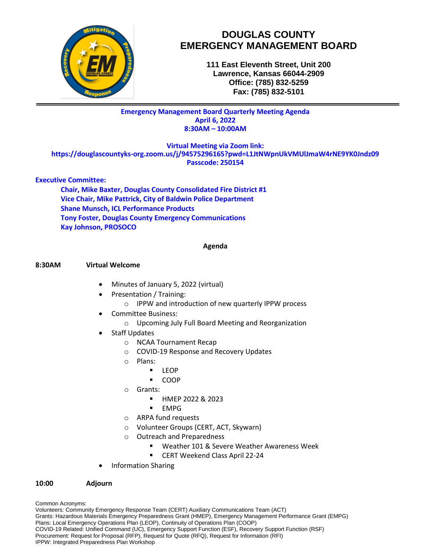

# **DOUGLAS COUNTY EMERGENCY MANAGEMENT BOARD**

**111 East Eleventh Street, Unit 200 Lawrence, Kansas 66044-2909 Office: (785) 832-5259 Fax: (785) 832-5101**

## **Emergency Management Board Quarterly Meeting Agenda April 6, 2022 8:30AM – 10:00AM**

**Virtual Meeting via Zoom link:**

**https://douglascountyks-org.zoom.us/j/94575296165?pwd=L1JtNWpnUkVMUlJmaW4rNE9YK0Jndz09 Passcode: 250154**

## **Executive Committee:**

**Chair, Mike Baxter, Douglas County Consolidated Fire District #1 Vice Chair, Mike Pattrick, City of Baldwin Police Department Shane Munsch, ICL Performance Products Tony Foster, Douglas County Emergency Communications Kay Johnson, PROSOCO**

#### **Agenda**

### **8:30AM Virtual Welcome**

- Minutes of January 5, 2022 (virtual)
- Presentation / Training:
	- o IPPW and introduction of new quarterly IPPW process
- Committee Business:
	- o Upcoming July Full Board Meeting and Reorganization
- Staff Updates
	- o NCAA Tournament Recap
	- o COVID-19 Response and Recovery Updates
	- o Plans:
		- **LEOP**
		- COOP
	- o Grants:
		- **HMEP 2022 & 2023**
		- $\blacksquare$  EMPG
	- o ARPA fund requests
	- o Volunteer Groups (CERT, ACT, Skywarn)
	- o Outreach and Preparedness
		- Weather 101 & Severe Weather Awareness Week
		- **EXECT Weekend Class April 22-24**
- Information Sharing

### **10:00 Adjourn**

Common Acronyms:

Volunteers: Community Emergency Response Team (CERT) Auxiliary Communications Team (ACT) Grants: Hazardous Materials Emergency Preparedness Grant (HMEP), Emergency Management Performance Grant (EMPG) Plans: Local Emergency Operations Plan (LEOP), Continuity of Operations Plan (COOP) COVID-19 Related: Unified Command (UC), Emergency Support Function (ESF), Recovery Support Function (RSF) Procurement: Request for Proposal (RFP), Request for Quote (RFQ), Request for Information (RFI) IPPW: Integrated Preparedness Plan Workshop